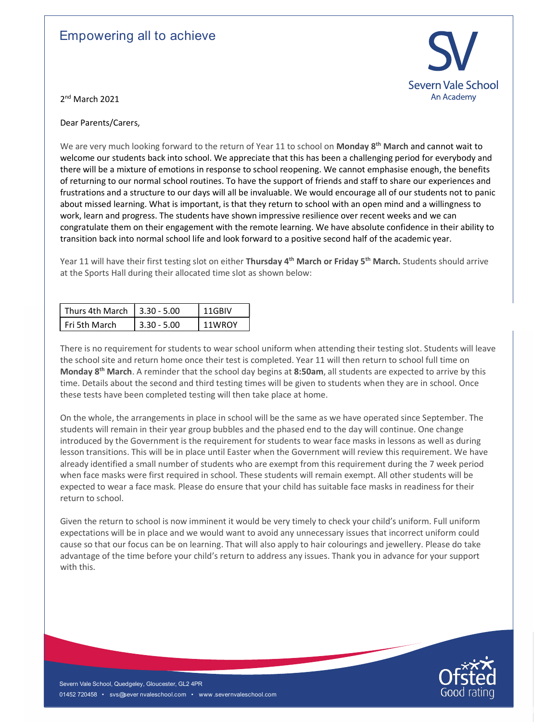## Empowering all to achieve



2<sup>nd</sup> March 2021

Dear Parents/Carers,

We are very much looking forward to the return of Year 11 to school on Monday 8<sup>th</sup> March and cannot wait to welcome our students back into school. We appreciate that this has been a challenging period for everybody and there will be a mixture of emotions in response to school reopening. We cannot emphasise enough, the benefits of returning to our normal school routines. To have the support of friends and staff to share our experiences and frustrations and a structure to our days will all be invaluable. We would encourage all of our students not to panic about missed learning. What is important, is that they return to school with an open mind and a willingness to work, learn and progress. The students have shown impressive resilience over recent weeks and we can congratulate them on their engagement with the remote learning. We have absolute confidence in their ability to transition back into normal school life and look forward to a positive second half of the academic year.

Year 11 will have their first testing slot on either Thursday 4<sup>th</sup> March or Friday 5<sup>th</sup> March. Students should arrive at the Sports Hall during their allocated time slot as shown below:

| Thurs 4th March $\vert$ 3.30 - 5.00 |               | 11GBIV |
|-------------------------------------|---------------|--------|
| Fri 5th March                       | $3.30 - 5.00$ | 11WROY |

There is no requirement for students to wear school uniform when attending their testing slot. Students will leave the school site and return home once their test is completed. Year 11 will then return to school full time on Monday 8<sup>th</sup> March. A reminder that the school day begins at 8:50am, all students are expected to arrive by this time. Details about the second and third testing times will be given to students when they are in school. Once these tests have been completed testing will then take place at home.

On the whole, the arrangements in place in school will be the same as we have operated since September. The students will remain in their year group bubbles and the phased end to the day will continue. One change introduced by the Government is the requirement for students to wear face masks in lessons as well as during lesson transitions. This will be in place until Easter when the Government will review this requirement. We have already identified a small number of students who are exempt from this requirement during the 7 week period when face masks were first required in school. These students will remain exempt. All other students will be expected to wear a face mask. Please do ensure that your child has suitable face masks in readiness for their return to school.

diready identified a small number of students who are exempt from this requirement during the 7 week period<br>when face mask were first required in school. These students will remain exempt. All other students will be<br>when Given the return to school is now imminent it would be very timely to check your child's uniform. Full uniform expectations will be in place and we would want to avoid any unnecessary issues that incorrect uniform could cause so that our focus can be on learning. That will also apply to hair colourings and jewellery. Please do take advantage of the time before your child's return to address any issues. Thank you in advance for your support with this.